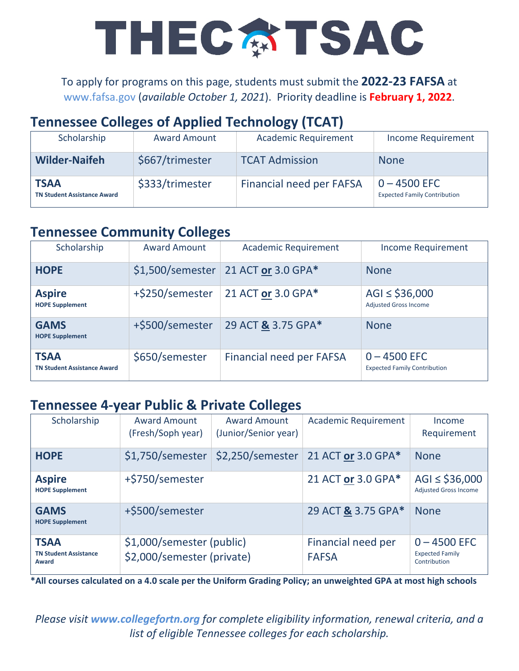## THECATSAC

To apply for programs on this page, students must submit the **2022-23 FAFSA** at www.fafsa.gov (*available October 1, 2021*). Priority deadline is **February 1, 2022**.

## **Tennessee Colleges of Applied Technology (TCAT)**

| Scholarship                                       | <b>Award Amount</b> | <b>Academic Requirement</b> | <b>Income Requirement</b>                             |
|---------------------------------------------------|---------------------|-----------------------------|-------------------------------------------------------|
| <b>Wilder-Naifeh</b>                              | \$667/trimester     | <b>TCAT Admission</b>       | <b>None</b>                                           |
| <b>TSAA</b><br><b>TN Student Assistance Award</b> | \$333/trimester     | Financial need per FAFSA    | $0 - 4500$ EFC<br><b>Expected Family Contribution</b> |

### **Tennessee Community Colleges**

| Scholarship                                       | <b>Award Amount</b> | <b>Academic Requirement</b> | <b>Income Requirement</b>                             |
|---------------------------------------------------|---------------------|-----------------------------|-------------------------------------------------------|
| <b>HOPE</b>                                       | $$1,500$ /semester  | 21 ACT or 3.0 GPA*          | <b>None</b>                                           |
| <b>Aspire</b><br><b>HOPE Supplement</b>           | +\$250/semester     | 21 ACT or 3.0 GPA*          | AGI $\le$ \$36,000<br><b>Adjusted Gross Income</b>    |
| <b>GAMS</b><br><b>HOPE Supplement</b>             | +\$500/semester     | 29 ACT & 3.75 GPA*          | <b>None</b>                                           |
| <b>TSAA</b><br><b>TN Student Assistance Award</b> | \$650/semester      | Financial need per FAFSA    | $0 - 4500$ EFC<br><b>Expected Family Contribution</b> |

#### **Tennessee 4-year Public & Private Colleges**

| Scholarship                                          | <b>Award Amount</b><br>(Fresh/Soph year)                | <b>Award Amount</b><br>(Junior/Senior year) | <b>Academic Requirement</b>        | Income<br>Requirement                                    |
|------------------------------------------------------|---------------------------------------------------------|---------------------------------------------|------------------------------------|----------------------------------------------------------|
| <b>HOPE</b>                                          | \$1,750/semester                                        | \$2,250/semester                            | 21 ACT or 3.0 GPA*                 | <b>None</b>                                              |
| <b>Aspire</b><br><b>HOPE Supplement</b>              | +\$750/semester                                         |                                             | 21 ACT or 3.0 GPA*                 | AGI $\le$ \$36,000<br><b>Adjusted Gross Income</b>       |
| <b>GAMS</b><br><b>HOPE Supplement</b>                | +\$500/semester                                         |                                             | 29 ACT & 3.75 GPA*                 | <b>None</b>                                              |
| <b>TSAA</b><br><b>TN Student Assistance</b><br>Award | \$1,000/semester (public)<br>\$2,000/semester (private) |                                             | Financial need per<br><b>FAFSA</b> | $0 - 4500$ EFC<br><b>Expected Family</b><br>Contribution |

**\*All courses calculated on a 4.0 scale per the Uniform Grading Policy; an unweighted GPA at most high schools**

*Please visit www.collegefortn.org for complete eligibility information, renewal criteria, and a list of eligible Tennessee colleges for each scholarship.*